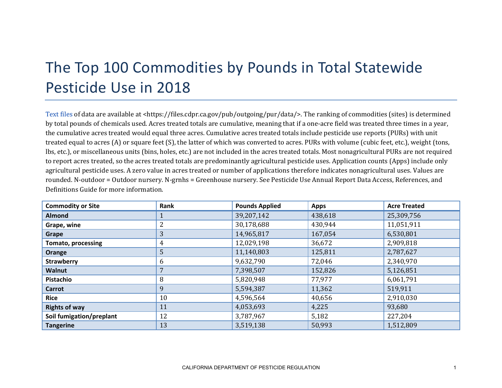## The Top 100 Commodities by Pounds in Total Statewide Pesticide Use in 2018

[Text files](https://files.cdpr.ca.gov/pub/outgoing/pur/data/) of data are available at <https://files.cdpr.ca.gov/pub/outgoing/pur/data/>. The ranking of commodities (sites) is determined by total pounds of chemicals used. Acres treated totals are cumulative, meaning that if a one-acre field was treated three times in a year, the cumulative acres treated would equal three acres. Cumulative acres treated totals include pesticide use reports (PURs) with unit treated equal to acres (A) or square feet (S), the latter of which was converted to acres. PURs with volume (cubic feet, etc.), weight (tons, lbs, etc.), or miscellaneous units (bins, holes, etc.) are not included in the acres treated totals. Most nonagricultural PURs are not required to report acres treated, so the acres treated totals are predominantly agricultural pesticide uses. Application counts (Apps) include only agricultural pesticide uses. A zero value in acres treated or number of applications therefore indicates nonagricultural uses. Values are rounded. N-outdoor = Outdoor nursery. N-grnhs = Greenhouse nursery. See Pesticide Use Annual Report Data Access, References, and Definitions Guide for more information.

| <b>Commodity or Site</b>  | Rank | <b>Pounds Applied</b> | <b>Apps</b> | <b>Acre Treated</b> |
|---------------------------|------|-----------------------|-------------|---------------------|
| <b>Almond</b>             |      | 39,207,142            | 438,618     | 25,309,756          |
| Grape, wine               |      | 30,178,688            | 430,944     | 11,051,911          |
| Grape                     | 3    | 14,965,817            | 167,054     | 6,530,801           |
| <b>Tomato, processing</b> | 4    | 12,029,198            | 36,672      | 2,909,818           |
| Orange                    | 5    | 11,140,803            | 125,811     | 2,787,627           |
| <b>Strawberry</b>         | 6    | 9,632,790             | 72,046      | 2,340,970           |
| <b>Walnut</b>             |      | 7,398,507             | 152,826     | 5,126,851           |
| Pistachio                 | 8    | 5,820,948             | 77,977      | 6,061,791           |
| Carrot                    | 9    | 5,594,387             | 11,362      | 519,911             |
| <b>Rice</b>               | 10   | 4,596,564             | 40,656      | 2,910,030           |
| <b>Rights of way</b>      | 11   | 4,053,693             | 4,225       | 93,680              |
| Soil fumigation/preplant  | 12   | 3,787,967             | 5,182       | 227,204             |
| <b>Tangerine</b>          | 13   | 3,519,138             | 50,993      | 1,512,809           |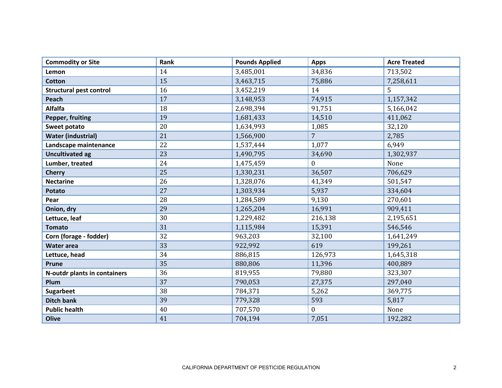| <b>Commodity or Site</b>       | Rank | <b>Pounds Applied</b> | <b>Apps</b>      | <b>Acre Treated</b> |
|--------------------------------|------|-----------------------|------------------|---------------------|
| Lemon                          | 14   | 3,485,001             | 34,836           | 713,502             |
| <b>Cotton</b>                  | 15   | 3,463,715             | 75,886           | 7,258,611           |
| <b>Structural pest control</b> | 16   | 3,452,219             | 14               | 5                   |
| Peach                          | 17   | 3,148,953             | 74,915           | 1,157,342           |
| <b>Alfalfa</b>                 | 18   | 2,698,394             | 91,751           | 5,166,042           |
| Pepper, fruiting               | 19   | 1,681,433             | 14,510           | 411,062             |
| Sweet potato                   | 20   | 1,634,993             | 1,085            | 32,120              |
| <b>Water (industrial)</b>      | 21   | 1,566,900             | 7                | 2,785               |
| Landscape maintenance          | 22   | 1,537,444             | 1,077            | 6,949               |
| <b>Uncultivated ag</b>         | 23   | 1,490,795             | 34,690           | 1,302,937           |
| Lumber, treated                | 24   | 1,475,459             | $\boldsymbol{0}$ | None                |
| <b>Cherry</b>                  | 25   | 1,330,231             | 36,507           | 706,629             |
| <b>Nectarine</b>               | 26   | 1,328,076             | 41,349           | 501,547             |
| <b>Potato</b>                  | 27   | 1,303,934             | 5,937            | 334,604             |
| Pear                           | 28   | 1,284,589             | 9,130            | 270,601             |
| Onion, dry                     | 29   | 1,265,204             | 16,991           | 909,411             |
| Lettuce, leaf                  | 30   | 1,229,482             | 216,138          | 2,195,651           |
| <b>Tomato</b>                  | 31   | 1,115,984             | 15,391           | 546,546             |
| Corn (forage - fodder)         | 32   | 963,203               | 32,100           | 1,641,249           |
| <b>Water area</b>              | 33   | 922,992               | 619              | 199,261             |
| Lettuce, head                  | 34   | 886,815               | 126,973          | 1,645,318           |
| Prune                          | 35   | 880,806               | 11,396           | 400,889             |
| N-outdr plants in containers   | 36   | 819,955               | 79,880           | 323,307             |
| Plum                           | 37   | 790,053               | 27,375           | 297,040             |
| <b>Sugarbeet</b>               | 38   | 784,371               | 5,262            | 369,775             |
| <b>Ditch bank</b>              | 39   | 779,328               | 593              | 5,817               |
| <b>Public health</b>           | 40   | 707,570               | $\mathbf{0}$     | None                |
| <b>Olive</b>                   | 41   | 704,194               | 7,051            | 192,282             |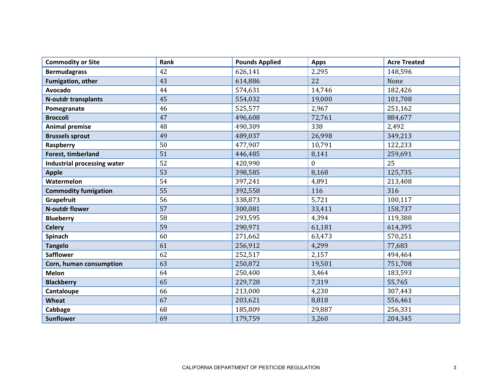| <b>Commodity or Site</b>    | Rank | <b>Pounds Applied</b> | <b>Apps</b>      | <b>Acre Treated</b> |
|-----------------------------|------|-----------------------|------------------|---------------------|
| <b>Bermudagrass</b>         | 42   | 626,141               | 2,295            | 148,596             |
| <b>Fumigation, other</b>    | 43   | 614,886               | 22               | None                |
| <b>Avocado</b>              | 44   | 574,631               | 14,746           | 182,426             |
| <b>N-outdr transplants</b>  | 45   | 554,032               | 19,000           | 101,708             |
| Pomegranate                 | 46   | 525,577               | 2,967            | 251,162             |
| <b>Broccoli</b>             | 47   | 496,608               | 72,761           | 884,677             |
| <b>Animal premise</b>       | 48   | 490,309               | 338              | 2,492               |
| <b>Brussels sprout</b>      | 49   | 489,037               | 26,998           | 349,213             |
| Raspberry                   | 50   | 477,907               | 10,791           | 122,233             |
| Forest, timberland          | 51   | 446,485               | 8,141            | 259,691             |
| Industrial processing water | 52   | 420,990               | $\boldsymbol{0}$ | 25                  |
| <b>Apple</b>                | 53   | 398,585               | 8,168            | 125,735             |
| Watermelon                  | 54   | 397,241               | 4,891            | 213,408             |
| <b>Commodity fumigation</b> | 55   | 392,558               | 116              | 316                 |
| Grapefruit                  | 56   | 338,873               | 5,721            | 100,117             |
| <b>N-outdr flower</b>       | 57   | 300,081               | 33,411           | 158,737             |
| <b>Blueberry</b>            | 58   | 293,595               | 4,394            | 119,388             |
| <b>Celery</b>               | 59   | 290,971               | 61,181           | 614,395             |
| Spinach                     | 60   | 271,662               | 63,473           | 570,251             |
| <b>Tangelo</b>              | 61   | 256,912               | 4,299            | 77,683              |
| <b>Safflower</b>            | 62   | 252,517               | 2,157            | 494,464             |
| Corn, human consumption     | 63   | 250,872               | 19,501           | 751,708             |
| <b>Melon</b>                | 64   | 250,400               | 3,464            | 183,593             |
| <b>Blackberry</b>           | 65   | 229,728               | 7,319            | 55,765              |
| Cantaloupe                  | 66   | 213,000               | 4,230            | 307,443             |
| Wheat                       | 67   | 203,621               | 8,818            | 556,461             |
| Cabbage                     | 68   | 185,809               | 29,887           | 256,331             |
| <b>Sunflower</b>            | 69   | 179,759               | 3,260            | 204,345             |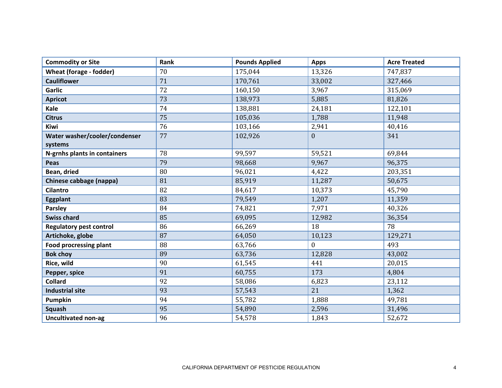| <b>Commodity or Site</b>       | Rank | <b>Pounds Applied</b> | <b>Apps</b>      | <b>Acre Treated</b> |
|--------------------------------|------|-----------------------|------------------|---------------------|
| Wheat (forage - fodder)        | 70   | 175,044               | 13,326           | 747,837             |
| <b>Cauliflower</b>             | 71   | 170,761               | 33,002           | 327,466             |
| Garlic                         | 72   | 160,150               | 3,967            | 315,069             |
| <b>Apricot</b>                 | 73   | 138,973               | 5,885            | 81,826              |
| Kale                           | 74   | 138,881               | 24,181           | 122,101             |
| <b>Citrus</b>                  | 75   | 105,036               | 1,788            | 11,948              |
| Kiwi                           | 76   | 103,166               | 2,941            | 40,416              |
| Water washer/cooler/condenser  | 77   | 102,926               | $\boldsymbol{0}$ | 341                 |
| systems                        |      |                       |                  |                     |
| N-grnhs plants in containers   | 78   | 99,597                | 59,521           | 69,844              |
| Peas                           | 79   | 98,668                | 9,967            | 96,375              |
| Bean, dried                    | 80   | 96,021                | 4,422            | 203,351             |
| Chinese cabbage (nappa)        | 81   | 85,919                | 11,287           | 50,675              |
| <b>Cilantro</b>                | 82   | 84,617                | 10,373           | 45,790              |
| <b>Eggplant</b>                | 83   | 79,549                | 1,207            | 11,359              |
| <b>Parsley</b>                 | 84   | 74,821                | 7,971            | 40,326              |
| <b>Swiss chard</b>             | 85   | 69,095                | 12,982           | 36,354              |
| <b>Regulatory pest control</b> | 86   | 66,269                | 18               | 78                  |
| Artichoke, globe               | 87   | 64,050                | 10,123           | 129,271             |
| <b>Food procressing plant</b>  | 88   | 63,766                | $\overline{0}$   | 493                 |
| <b>Bok choy</b>                | 89   | 63,736                | 12,828           | 43,002              |
| Rice, wild                     | 90   | 61,545                | 441              | 20,015              |
| Pepper, spice                  | 91   | 60,755                | 173              | 4,804               |
| <b>Collard</b>                 | 92   | 58,086                | 6,823            | 23,112              |
| <b>Industrial site</b>         | 93   | 57,543                | 21               | 1,362               |
| <b>Pumpkin</b>                 | 94   | 55,782                | 1,888            | 49,781              |
| <b>Squash</b>                  | 95   | 54,890                | 2,596            | 31,496              |
| <b>Uncultivated non-ag</b>     | 96   | 54,578                | 1,843            | 52,672              |